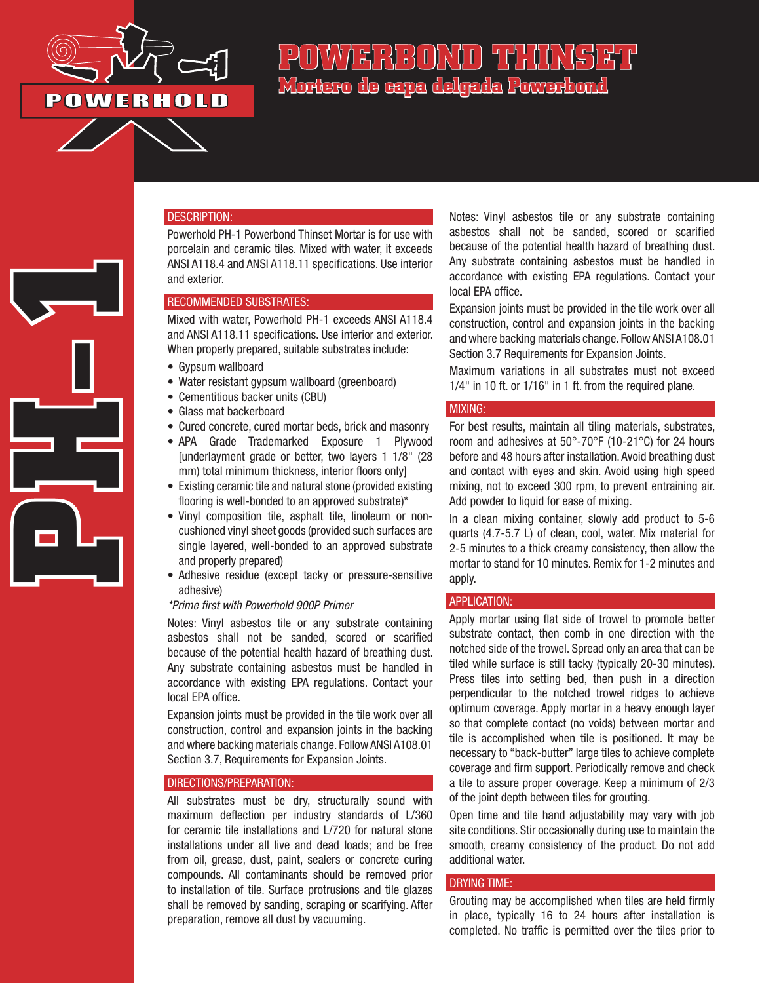

**PH-1**<br>PH-1<br>PH-1

# POWAERBORD THINSET **Mortero de capa delgada Powerbond**

## DESCRIPTION:

Powerhold PH-1 Powerbond Thinset Mortar is for use with porcelain and ceramic tiles. Mixed with water, it exceeds ANSI A118.4 and ANSI A118.11 specifications. Use interior and exterior.

### RECOMMENDED SUBSTRATES:

Mixed with water, Powerhold PH-1 exceeds ANSI A118.4 and ANSI A118.11 specifications. Use interior and exterior. When properly prepared, suitable substrates include:

- Gypsum wallboard
- Water resistant gypsum wallboard (greenboard)
- Cementitious backer units (CBU)
- Glass mat backerboard
- Cured concrete, cured mortar beds, brick and masonry
- APA Grade Trademarked Exposure 1 Plywood [underlayment grade or better, two layers 1 1/8" (28 mm) total minimum thickness, interior floors only]
- Existing ceramic tile and natural stone (provided existing flooring is well-bonded to an approved substrate)\*
- Vinyl composition tile, asphalt tile, linoleum or noncushioned vinyl sheet goods (provided such surfaces are single layered, well-bonded to an approved substrate and properly prepared)
- Adhesive residue (except tacky or pressure-sensitive adhesive)

#### *\*Prime first with Powerhold 900P Primer*

Notes: Vinyl asbestos tile or any substrate containing asbestos shall not be sanded, scored or scarified because of the potential health hazard of breathing dust. Any substrate containing asbestos must be handled in accordance with existing EPA regulations. Contact your local EPA office.

Expansion joints must be provided in the tile work over all construction, control and expansion joints in the backing and where backing materials change. Follow ANSI A108.01 Section 3.7, Requirements for Expansion Joints.

#### DIRECTIONS/PREPARATION:

All substrates must be dry, structurally sound with maximum deflection per industry standards of L/360 for ceramic tile installations and L/720 for natural stone installations under all live and dead loads; and be free from oil, grease, dust, paint, sealers or concrete curing compounds. All contaminants should be removed prior to installation of tile. Surface protrusions and tile glazes shall be removed by sanding, scraping or scarifying. After preparation, remove all dust by vacuuming.

Notes: Vinyl asbestos tile or any substrate containing asbestos shall not be sanded, scored or scarified because of the potential health hazard of breathing dust. Any substrate containing asbestos must be handled in accordance with existing EPA regulations. Contact your local EPA office.

Expansion joints must be provided in the tile work over all construction, control and expansion joints in the backing and where backing materials change. Follow ANSI A108.01 Section 3.7 Requirements for Expansion Joints.

Maximum variations in all substrates must not exceed 1/4" in 10 ft. or 1/16" in 1 ft. from the required plane.

#### MIXING:

For best results, maintain all tiling materials, substrates, room and adhesives at 50°-70°F (10-21°C) for 24 hours before and 48 hours after installation. Avoid breathing dust and contact with eyes and skin. Avoid using high speed mixing, not to exceed 300 rpm, to prevent entraining air. Add powder to liquid for ease of mixing.

In a clean mixing container, slowly add product to 5-6 quarts (4.7-5.7 L) of clean, cool, water. Mix material for 2-5 minutes to a thick creamy consistency, then allow the mortar to stand for 10 minutes. Remix for 1-2 minutes and apply.

#### APPLICATION:

Apply mortar using flat side of trowel to promote better substrate contact, then comb in one direction with the notched side of the trowel. Spread only an area that can be tiled while surface is still tacky (typically 20-30 minutes). Press tiles into setting bed, then push in a direction perpendicular to the notched trowel ridges to achieve optimum coverage. Apply mortar in a heavy enough layer so that complete contact (no voids) between mortar and tile is accomplished when tile is positioned. It may be necessary to "back-butter" large tiles to achieve complete coverage and firm support. Periodically remove and check a tile to assure proper coverage. Keep a minimum of 2/3 of the joint depth between tiles for grouting.

Open time and tile hand adjustability may vary with job site conditions. Stir occasionally during use to maintain the smooth, creamy consistency of the product. Do not add additional water.

### DRYING TIME:

Grouting may be accomplished when tiles are held firmly in place, typically 16 to 24 hours after installation is completed. No traffic is permitted over the tiles prior to